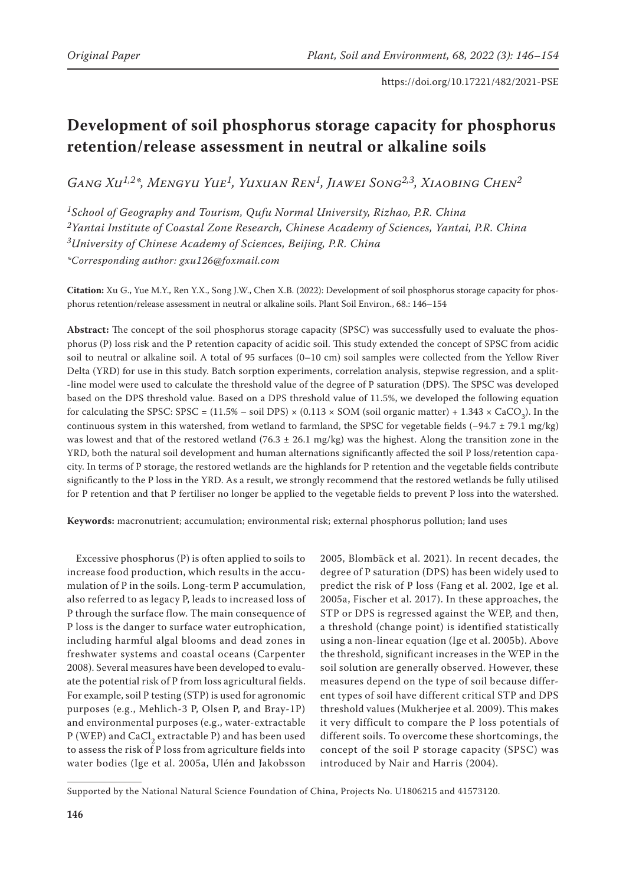# **Development of soil phosphorus storage capacity for phosphorus retention/release assessment in neutral or alkaline soils**

*Gang Xu1,2\*, Mengyu Yue1, Yuxuan Ren1, Jiawei Song2,3, Xiaobing Chen2*

*1School of Geography and Tourism, Qufu Normal University, Rizhao, P.R. China 2Yantai Institute of Coastal Zone Research, Chinese Academy of Sciences, Yantai, P.R. China 3University of Chinese Academy of Sciences, Beijing, P.R. China \*Corresponding author: gxu126@foxmail.com*

**Citation:** Xu G., Yue M.Y., Ren Y.X., Song J.W., Chen X.B. (2022): Development of soil phosphorus storage capacity for phosphorus retention/release assessment in neutral or alkaline soils. Plant Soil Environ., 68.: 146–154

**Abstract:** The concept of the soil phosphorus storage capacity (SPSC) was successfully used to evaluate the phosphorus (P) loss risk and the P retention capacity of acidic soil. This study extended the concept of SPSC from acidic soil to neutral or alkaline soil. A total of 95 surfaces (0–10 cm) soil samples were collected from the Yellow River Delta (YRD) for use in this study. Batch sorption experiments, correlation analysis, stepwise regression, and a split- -line model were used to calculate the threshold value of the degree of P saturation (DPS). The SPSC was developed based on the DPS threshold value. Based on a DPS threshold value of 11.5%, we developed the following equation for calculating the SPSC: SPSC =  $(11.5\% - \text{soil DPS}) \times (0.113 \times \text{SOM}$  (soil organic matter) + 1.343  $\times$  CaCO<sub>3</sub>). In the continuous system in this watershed, from wetland to farmland, the SPSC for vegetable fields (−94.7 ± 79.1 mg/kg) was lowest and that of the restored wetland (76.3  $\pm$  26.1 mg/kg) was the highest. Along the transition zone in the YRD, both the natural soil development and human alternations significantly affected the soil P loss/retention capacity. In terms of P storage, the restored wetlands are the highlands for P retention and the vegetable fields contribute significantly to the P loss in the YRD. As a result, we strongly recommend that the restored wetlands be fully utilised for P retention and that P fertiliser no longer be applied to the vegetable fields to prevent P loss into the watershed.

**Keywords:** macronutrient; accumulation; environmental risk; external phosphorus pollution; land uses

Excessive phosphorus (P) is often applied to soils to increase food production, which results in the accumulation of P in the soils. Long-term P accumulation, also referred to as legacy P, leads to increased loss of P through the surface flow. The main consequence of P loss is the danger to surface water eutrophication, including harmful algal blooms and dead zones in freshwater systems and coastal oceans (Carpenter 2008). Several measures have been developed to evaluate the potential risk of P from loss agricultural fields. For example, soil P testing (STP) is used for agronomic purposes (e.g., Mehlich-3 P, Olsen P, and Bray-1P) and environmental purposes (e.g., water-extractable P (WEP) and CaCl<sub>2</sub> extractable P) and has been used to assess the risk of P loss from agriculture fields into water bodies (Ige et al. 2005a, Ulén and Jakobsson

2005, Blombäck et al. 2021). In recent decades, the degree of P saturation (DPS) has been widely used to predict the risk of P loss (Fang et al. 2002, Ige et al. 2005a, Fischer et al. 2017). In these approaches, the STP or DPS is regressed against the WEP, and then, a threshold (change point) is identified statistically using a non-linear equation (Ige et al. 2005b). Above the threshold, significant increases in the WEP in the soil solution are generally observed. However, these measures depend on the type of soil because different types of soil have different critical STP and DPS threshold values (Mukherjee et al. 2009). This makes it very difficult to compare the P loss potentials of different soils. To overcome these shortcomings, the concept of the soil P storage capacity (SPSC) was introduced by Nair and Harris (2004).

Supported by the National Natural Science Foundation of China, Projects No. U1806215 and 41573120.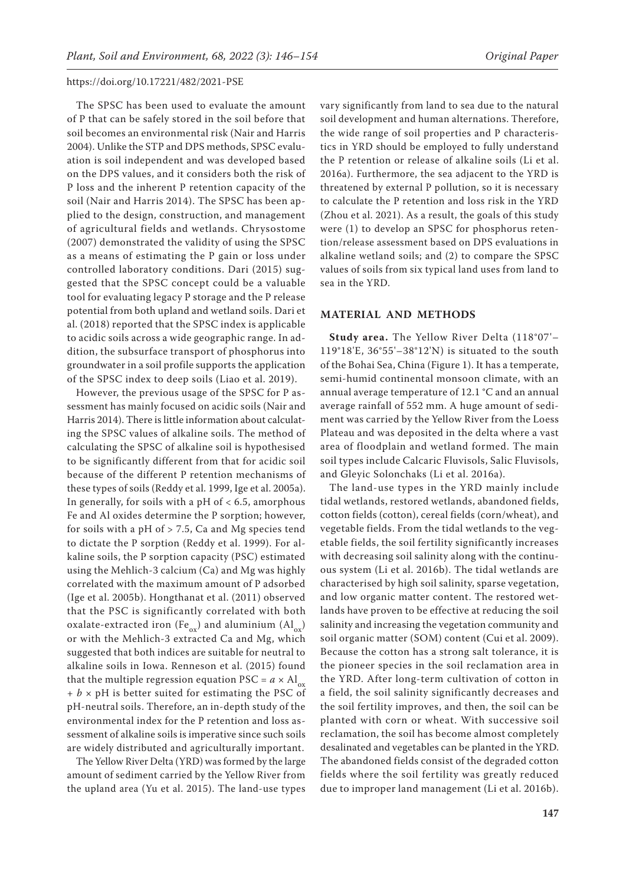The SPSC has been used to evaluate the amount of P that can be safely stored in the soil before that soil becomes an environmental risk (Nair and Harris 2004). Unlike the STP and DPS methods, SPSC evaluation is soil independent and was developed based on the DPS values, and it considers both the risk of P loss and the inherent P retention capacity of the soil (Nair and Harris 2014). The SPSC has been applied to the design, construction, and management of agricultural fields and wetlands. Chrysostome (2007) demonstrated the validity of using the SPSC as a means of estimating the P gain or loss under controlled laboratory conditions. Dari (2015) suggested that the SPSC concept could be a valuable tool for evaluating legacy P storage and the P release potential from both upland and wetland soils. Dari et al. (2018) reported that the SPSC index is applicable to acidic soils across a wide geographic range. In addition, the subsurface transport of phosphorus into groundwater in a soil profile supports the application of the SPSC index to deep soils (Liao et al. 2019).

However, the previous usage of the SPSC for P assessment has mainly focused on acidic soils (Nair and Harris 2014). There is little information about calculating the SPSC values of alkaline soils. The method of calculating the SPSC of alkaline soil is hypothesised to be significantly different from that for acidic soil because of the different P retention mechanisms of these types of soils (Reddy et al. 1999, Ige et al. 2005a). In generally, for soils with a pH of  $< 6.5$ , amorphous Fe and Al oxides determine the P sorption; however, for soils with a pH of  $>$  7.5, Ca and Mg species tend to dictate the P sorption (Reddy et al. 1999). For alkaline soils, the P sorption capacity (PSC) estimated using the Mehlich-3 calcium (Ca) and Mg was highly correlated with the maximum amount of P adsorbed (Ige et al. 2005b). Hongthanat et al. (2011) observed that the PSC is significantly correlated with both oxalate-extracted iron (Fe<sub>ox</sub>) and aluminium (Al<sub>ox</sub>) or with the Mehlich-3 extracted Ca and Mg, which suggested that both indices are suitable for neutral to alkaline soils in Iowa. Renneson et al. (2015) found that the multiple regression equation PSC =  $a \times Al$ <sub>ox</sub>  $+ b \times pH$  is better suited for estimating the PSC of pH-neutral soils. Therefore, an in-depth study of the environmental index for the P retention and loss assessment of alkaline soils is imperative since such soils are widely distributed and agriculturally important.

The Yellow River Delta (YRD) was formed by the large amount of sediment carried by the Yellow River from the upland area (Yu et al. 2015). The land-use types vary significantly from land to sea due to the natural soil development and human alternations. Therefore, the wide range of soil properties and P characteristics in YRD should be employed to fully understand the P retention or release of alkaline soils (Li et al. 2016a). Furthermore, the sea adjacent to the YRD is threatened by external P pollution, so it is necessary to calculate the P retention and loss risk in the YRD (Zhou et al. 2021). As a result, the goals of this study were (1) to develop an SPSC for phosphorus retention/release assessment based on DPS evaluations in alkaline wetland soils; and (2) to compare the SPSC values of soils from six typical land uses from land to sea in the YRD.

# **MATERIAL AND METHODS**

**Study area.** The Yellow River Delta (118°07'– 119°18'E, 36°55'–38°12'N) is situated to the south of the Bohai Sea, China (Figure 1). It has a temperate, semi-humid continental monsoon climate, with an annual average temperature of 12.1 °C and an annual average rainfall of 552 mm. A huge amount of sediment was carried by the Yellow River from the Loess Plateau and was deposited in the delta where a vast area of floodplain and wetland formed. The main soil types include Calcaric Fluvisols, Salic Fluvisols, and Gleyic Solonchaks (Li et al. 2016a).

The land-use types in the YRD mainly include tidal wetlands, restored wetlands, abandoned fields, cotton fields (cotton), cereal fields (corn/wheat), and vegetable fields. From the tidal wetlands to the vegetable fields, the soil fertility significantly increases with decreasing soil salinity along with the continuous system (Li et al. 2016b). The tidal wetlands are characterised by high soil salinity, sparse vegetation, and low organic matter content. The restored wetlands have proven to be effective at reducing the soil salinity and increasing the vegetation community and soil organic matter (SOM) content (Cui et al. 2009). Because the cotton has a strong salt tolerance, it is the pioneer species in the soil reclamation area in the YRD. After long-term cultivation of cotton in a field, the soil salinity significantly decreases and the soil fertility improves, and then, the soil can be planted with corn or wheat. With successive soil reclamation, the soil has become almost completely desalinated and vegetables can be planted in the YRD. The abandoned fields consist of the degraded cotton fields where the soil fertility was greatly reduced due to improper land management (Li et al. 2016b).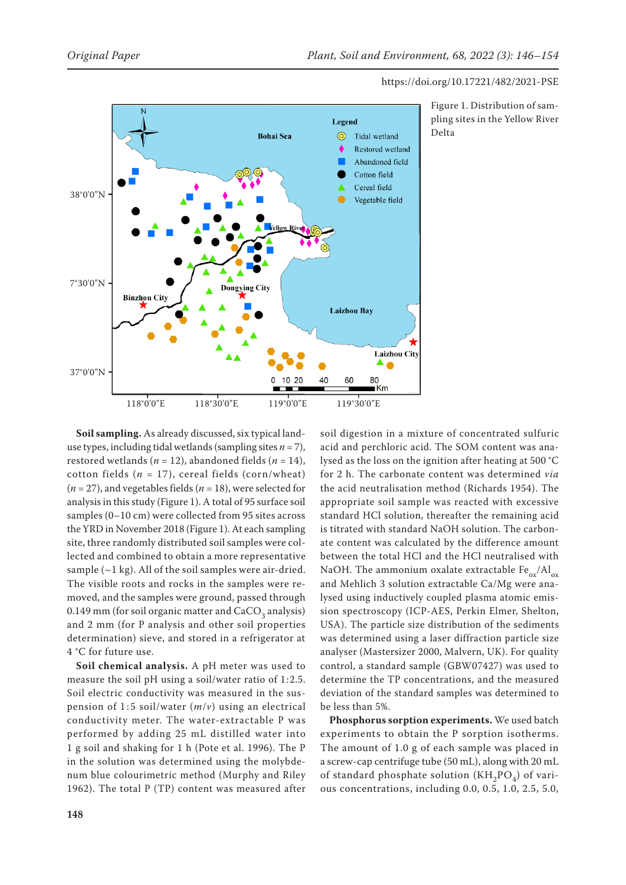

Figure 1. Distribution of sampling sites in the Yellow River Delta

**Soil sampling.** As already discussed, six typical landuse types, including tidal wetlands (sampling sites  $n = 7$ ), restored wetlands ( $n = 12$ ), abandoned fields ( $n = 14$ ), cotton fields  $(n = 17)$ , cereal fields (corn/wheat) (*n* = 27), and vegetables fields (*n* = 18), were selected for analysis in this study (Figure 1). A total of 95 surface soil samples (0–10 cm) were collected from 95 sites across the YRD in November 2018 (Figure 1). At each sampling site, three randomly distributed soil samples were collected and combined to obtain a more representative sample  $(-1 \text{ kg})$ . All of the soil samples were air-dried. The visible roots and rocks in the samples were removed, and the samples were ground, passed through 0.149 mm (for soil organic matter and  $CaCO<sub>3</sub>$  analysis) and 2 mm (for P analysis and other soil properties determination) sieve, and stored in a refrigerator at 4 °C for future use.

**Soil chemical analysis.** A pH meter was used to measure the soil pH using a soil/water ratio of 1:2.5. Soil electric conductivity was measured in the suspension of 1 : 5 soil/water (*m*/*v*) using an electrical conductivity meter. The water-extractable P was performed by adding 25 mL distilled water into 1 g soil and shaking for 1 h (Pote et al. 1996). The P in the solution was determined using the molybdenum blue colourimetric method (Murphy and Riley 1962). The total P (TP) content was measured after soil digestion in a mixture of concentrated sulfuric acid and perchloric acid. The SOM content was analysed as the loss on the ignition after heating at 500 °C for 2 h. The carbonate content was determined *via* the acid neutralisation method (Richards 1954). The appropriate soil sample was reacted with excessive standard HCl solution, thereafter the remaining acid is titrated with standard NaOH solution. The carbonate content was calculated by the difference amount between the total HCl and the HCl neutralised with NaOH. The ammonium oxalate extractable  $Fe_{ox}/Al_{ox}$ and Mehlich 3 solution extractable Ca/Mg were analysed using inductively coupled plasma atomic emission spectroscopy (ICP-AES, Perkin Elmer, Shelton, USA). The particle size distribution of the sediments was determined using a laser diffraction particle size analyser (Mastersizer 2000, Malvern, UK). For quality control, a standard sample (GBW07427) was used to determine the TP concentrations, and the measured deviation of the standard samples was determined to be less than 5%.

**Phosphorus sorption experiments.** We used batch experiments to obtain the P sorption isotherms. The amount of 1.0 g of each sample was placed in a screw-cap centrifuge tube (50 mL), along with 20 mL of standard phosphate solution  $(KH_2PO_A)$  of various concentrations, including 0.0, 0.5, 1.0, 2.5, 5.0,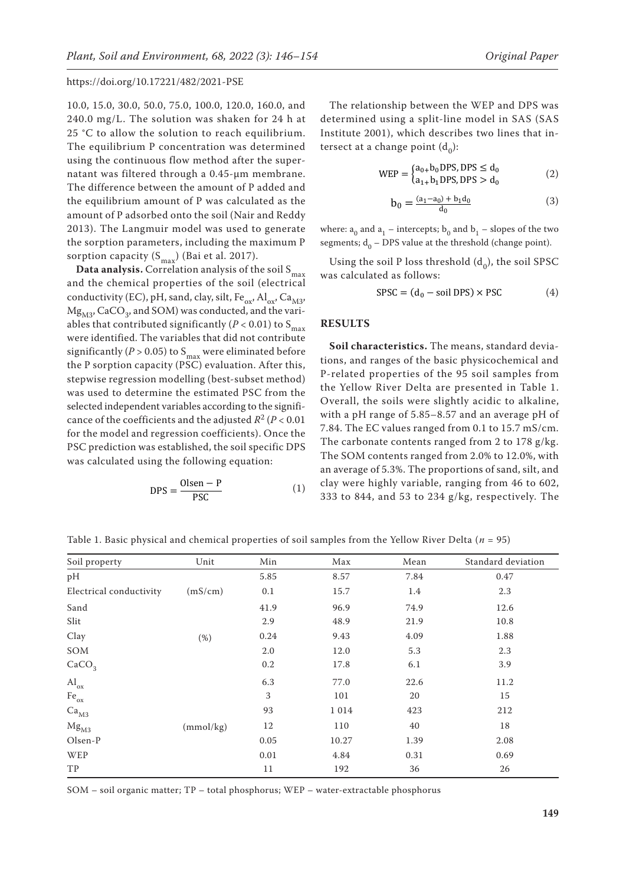10.0, 15.0, 30.0, 50.0, 75.0, 100.0, 120.0, 160.0, and 240.0 mg/L. The solution was shaken for 24 h at 25 °C to allow the solution to reach equilibrium. The equilibrium P concentration was determined using the continuous flow method after the supernatant was filtered through a 0.45-μm membrane. The difference between the amount of P added and the equilibrium amount of P was calculated as the amount of P adsorbed onto the soil (Nair and Reddy 2013). The Langmuir model was used to generate the sorption parameters, including the maximum P sorption capacity  $(S_{max})$  (Bai et al. 2017).

**Data analysis.** Correlation analysis of the soil  $S_{max}$ and the chemical properties of the soil (electrical conductivity (EC), pH, sand, clay, silt,  $Fe_{ox}$ ,  $Al_{ox}$ ,  $Ca_{M3}$ ,  $Mg_{M3}$ , CaCO<sub>3</sub>, and SOM) was conducted, and the variables that contributed significantly ( $P < 0.01$ ) to S<sub>max</sub> were identified. The variables that did not contribute significantly ( $P > 0.05$ ) to S<sub>max</sub> were eliminated before the P sorption capacity (PSC) evaluation. After this, stepwise regression modelling (best-subset method) was used to determine the estimated PSC from the selected independent variables according to the significance of the coefficients and the adjusted  $R^2 (P < 0.01)$ for the model and regression coefficients). Once the PSC prediction was established, the soil specific DPS was calculated using the following equation:

$$
DPS = \frac{Olsen - P}{PSC}
$$
 (1)

The relationship between the WEP and DPS was determined using a split-line model in SAS (SAS Institute 2001), which describes two lines that intersect at a change point  $(d_0)$ :

$$
WEP = \begin{cases} a_{0+}b_0DPS, DPS \le d_0 \\ a_{1+}b_1DPS, DPS > d_0 \end{cases}
$$
 (2)

$$
b_0 = \frac{(a_1 - a_0) + b_1 d_0}{d_0} \tag{3}
$$

where:  $a_0$  and  $a_1$  – intercepts;  $b_0$  and  $b_1$  – slopes of the two segments;  $d_0$  – DPS value at the threshold (change point).

Using the soil P loss threshold  $(d_0)$ , the soil SPSC was calculated as follows:

$$
SPSC = (d_0 - soil DPS) \times PSC
$$
 (4)

## **RESULTS**

**Soil characteristics.** The means, standard deviations, and ranges of the basic physicochemical and P-related properties of the 95 soil samples from the Yellow River Delta are presented in Table 1. Overall, the soils were slightly acidic to alkaline, with a pH range of 5.85–8.57 and an average pH of 7.84. The EC values ranged from 0.1 to 15.7 mS/cm. The carbonate contents ranged from 2 to 178 g/kg. The SOM contents ranged from 2.0% to 12.0%, with an average of 5.3%. The proportions of sand, silt, and clay were highly variable, ranging from 46 to 602, 333 to 844, and 53 to 234 g/kg, respectively. The

| Soil property               | Unit      | Min  | Max     | Mean | Standard deviation |
|-----------------------------|-----------|------|---------|------|--------------------|
| pH                          |           | 5.85 | 8.57    | 7.84 | 0.47               |
| Electrical conductivity     | (mS/cm)   | 0.1  | 15.7    | 1.4  | 2.3                |
| Sand                        |           | 41.9 | 96.9    | 74.9 | 12.6               |
| Slit                        |           | 2.9  | 48.9    | 21.9 | 10.8               |
| Clay                        | (%)       | 0.24 | 9.43    | 4.09 | 1.88               |
| SOM                         |           | 2.0  | 12.0    | 5.3  | 2.3                |
| CaCO <sub>3</sub>           |           | 0.2  | 17.8    | 6.1  | 3.9                |
| $\mathrm{Al}_\mathrm{ox}$   |           | 6.3  | 77.0    | 22.6 | 11.2               |
| $\mathrm{Fe}_{\mathrm{ox}}$ |           | 3    | 101     | 20   | 15                 |
| Ca <sub>M3</sub>            |           | 93   | 1 0 1 4 | 423  | 212                |
| Mg <sub>M3</sub>            | (mmol/kg) | 12   | 110     | 40   | 18                 |
| Olsen-P                     |           | 0.05 | 10.27   | 1.39 | 2.08               |
| WEP                         |           | 0.01 | 4.84    | 0.31 | 0.69               |
| TP                          |           | 11   | 192     | 36   | 26                 |

Table 1. Basic physical and chemical properties of soil samples from the Yellow River Delta (*n* = 95)

SOM – soil organic matter; TP – total phosphorus; WEP – water-extractable phosphorus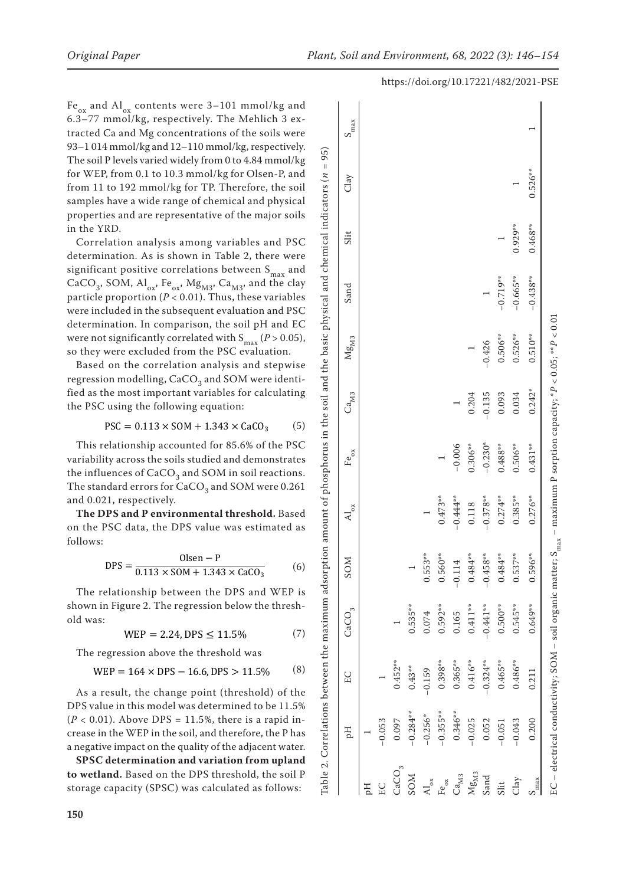Fe<sub>ox</sub> and Al<sub>ox</sub> contents were 3–101 mmol/kg and 6.3–77 mmol/kg, respectively. The Mehlich 3 ex tracted Ca and Mg concentrations of the soils were 93–1 014 mmol/kg and 12–110 mmol/kg, respectively. The soil P levels varied widely from 0 to 4.84 mmol/kg for WEP, from 0.1 to 10.3 mmol/kg for Olsen-P, and from 11 to 192 mmol/kg for TP. Therefore, the soil samples have a wide range of chemical and physical properties and are representative of the major soils in the YRD.

Correlation analysis among variables and PSC determination. As is shown in Table 2, there were significant positive correlations between  $S_{\text{max}}$  and CaCO<sub>3</sub>, SOM,  $\text{Al}_{ox}$ , Fe<sub>ox</sub>, Mg<sub>M3</sub>, Ca<sub>M3</sub>, and the clay particle proportion ( *P* < 0.01). Thus, these variables were included in the subsequent evaluation and PSC determination. In comparison, the soil pH and EC were not significantly correlated with  $S_{\text{max}}(P > 0.05)$ , so they were excluded from the PSC evaluation.

Based on the correlation analysis and stepwise regression modelling,  $CaCO<sub>3</sub>$  and SOM were identified as the most important variables for calculating the PSC using the following equation:

$$
PSC = 0.113 \times SOM + 1.343 \times CaCO_3 \tag{5}
$$

This relationship accounted for 85.6% of the PSC variability across the soils studied and demonstrates the influences of  $\text{CaCO}_3$  and SOM in soil reactions. The standard errors for  $CaCO<sub>3</sub>$  and SOM were 0.261 and 0.021, respectively.

**The DPS and P environmental threshold.** Based on the PSC data, the DPS value was estimated as follows:

$$
DPS = \frac{Olsen - P}{0.113 \times SOM + 1.343 \times CaCO_3}
$$
 (6)

The relationship between the DPS and WEP is shown in Figure 2. The regression below the thresh old was:

$$
WEP = 2.24, DPS \le 11.5\% \tag{7}
$$

The regression above the threshold was

$$
WEP = 164 \times DPS - 16.6, DPS > 11.5\% \tag{8}
$$

As a result, the change point (threshold) of the DPS value in this model was determined to be 11.5% (*P* < 0.01). Above DPS = 11.5%, there is a rapid increase in the WEP in the soil, and therefore, the P has a negative impact on the quality of the adjacent water.

**SPSC determination and variation from upland to wetland.** Based on the DPS threshold, the soil P storage capacity (SPSC) was calculated as follows:

Table 2. Correlations between the maximum adsorption amount of phosphorus in the soil and the basic physical and chemical indicators (*n* = 95) 95) Ĩ. Table 2. Correlations between the maximum adsorption amount of phosphorus in the soil and the basic physical and chemical indicators (n

#### https://doi.org/10.17221/482/2021-PSE

|                  | Hq                                                                       | EC          | $\mathrm{CaCO}_{3}$ | <b>NOS</b>  | $\mathcal{A}^{\mathbf{I}}_{\mathbf{ox}}$ | $\mathrm{Fe}_{\mathrm{ox}}$ | $\mathrm{Ca}_\mathrm{M3}$ | ${ {\rm Mg}_{\rm M3}}$                                   | Sand        | Slit      | Clay      | $S_{\rm max}$ |
|------------------|--------------------------------------------------------------------------|-------------|---------------------|-------------|------------------------------------------|-----------------------------|---------------------------|----------------------------------------------------------|-------------|-----------|-----------|---------------|
| H                |                                                                          |             |                     |             |                                          |                             |                           |                                                          |             |           |           |               |
|                  | $-0.053$                                                                 |             |                     |             |                                          |                             |                           |                                                          |             |           |           |               |
| $\text{CaCO}_3$  | 0.097                                                                    | $0.452**$   |                     |             |                                          |                             |                           |                                                          |             |           |           |               |
| <b>NOS</b>       | $-0.284***$                                                              | $0.43***$   | $0.535***$          |             |                                          |                             |                           |                                                          |             |           |           |               |
| $x_0$            | $-0.256*$                                                                | $-0.159$    | 0.074               | $0.553**$   |                                          |                             |                           |                                                          |             |           |           |               |
| $te_{\rm ox}$    | $-0.355***$                                                              | $0.398***$  | $0.592***$          | $0.560**$   | $0.473**$                                |                             |                           |                                                          |             |           |           |               |
| $a_{M3}$         | $0.346**$                                                                | $0.365**$   | 0.165               | $-0.114$    | $-0.444**$                               | $-0.006$                    |                           |                                                          |             |           |           |               |
| Mg <sub>M3</sub> | $-0.025$                                                                 | $0.416**$   | $0.411***$          | $0.484***$  | 0.118                                    | $0.306**$                   | 0.204                     |                                                          |             |           |           |               |
| Sand             | 0.052                                                                    | $-0.324***$ | $-0.441**$          | $-0.458***$ | $-0.378**$                               | $-0.230*$                   | $-0.135$                  | $-0.426$                                                 |             |           |           |               |
| Slit             | $-0.051$                                                                 | $0.465**$   | $0.500**$           | $0.484***$  | $0.274**$                                | $0.488***$                  | 0.093                     | $0.506**$                                                | $-0.719**$  |           |           |               |
| Clay             | $-0.043$                                                                 | $0.486***$  | $0.545**$           | $0.537**$   | $0.385**$                                | $0.506**$                   | 0.034                     | $0.526**$                                                | $-0.665***$ | $0.929**$ |           |               |
| max              | 0.200                                                                    | 0.211       | $0.649**$           | $0.596***$  | $0.276**$                                | $0.431***$                  | $0.242*$                  | $0.510**$                                                | $-0.438**$  | $0.468**$ | $0.526**$ |               |
|                  | EC – electrical conductivity; SOM – soil organic matter; $S_{\rm max}$ . |             |                     |             |                                          |                             |                           | - maximum P sorption capacity; $P < 0.05$ ; $**P < 0.01$ |             |           |           |               |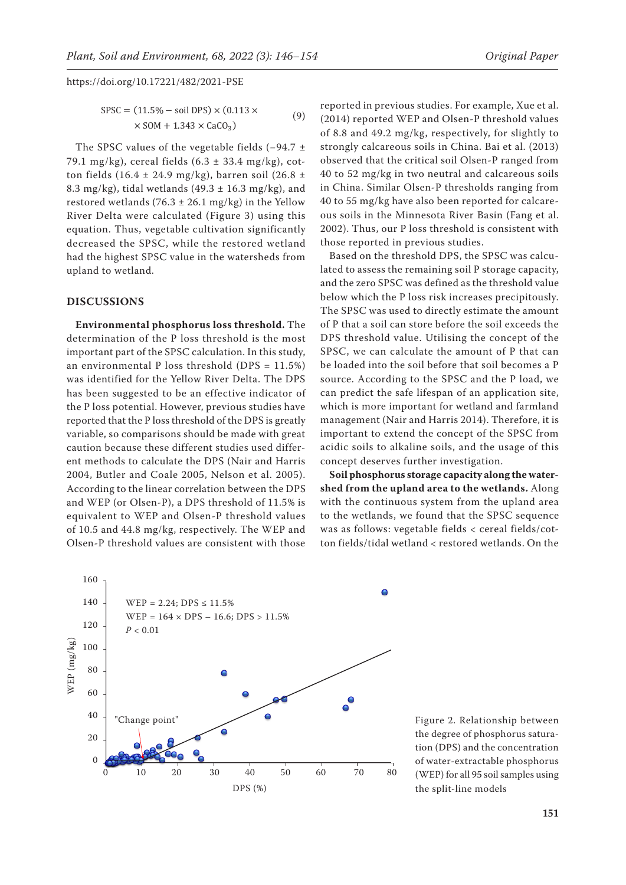$$
SPSC = (11.5\% - soil DPS) \times (0.113 \times 10^{10})
$$
  
× SOM + 1.343 × CaCO<sub>3</sub>) (9) (2014)

The SPSC values of the vegetable fields (−94.7 ± 79.1 mg/kg), cereal fields  $(6.3 \pm 33.4 \text{ mg/kg})$ , cotton fields (16.4  $\pm$  24.9 mg/kg), barren soil (26.8  $\pm$ 8.3 mg/kg), tidal wetlands  $(49.3 \pm 16.3 \text{ mg/kg})$ , and restored wetlands (76.3  $\pm$  26.1 mg/kg) in the Yellow River Delta were calculated (Figure 3) using this equation. Thus, vegetable cultivation significantly decreased the SPSC, while the restored wetland had the highest SPSC value in the watersheds from upland to wetland.

# **DISCUSSIONS**

**Environmental phosphorus loss threshold.** The determination of the P loss threshold is the most important part of the SPSC calculation. In this study, an environmental P loss threshold (DPS =  $11.5\%$ ) was identified for the Yellow River Delta. The DPS has been suggested to be an effective indicator of the P loss potential. However, previous studies have reported that the P loss threshold of the DPS is greatly variable, so comparisons should be made with great caution because these different studies used different methods to calculate the DPS (Nair and Harris 2004, Butler and Coale 2005, Nelson et al. 2005). According to the linear correlation between the DPS and WEP (or Olsen-P), a DPS threshold of 11.5% is equivalent to WEP and Olsen-P threshold values of 10.5 and 44.8 mg/kg, respectively. The WEP and Olsen-P threshold values are consistent with those

reported in previous studies. For example, Xue et al. (2014) reported WEP and Olsen-P threshold values of 8.8 and 49.2 mg/kg, respectively, for slightly to strongly calcareous soils in China. Bai et al. (2013) observed that the critical soil Olsen-P ranged from 40 to 52 mg/kg in two neutral and calcareous soils in China. Similar Olsen-P thresholds ranging from 40 to 55 mg/kg have also been reported for calcareous soils in the Minnesota River Basin (Fang et al. 2002). Thus, our P loss threshold is consistent with those reported in previous studies.

Based on the threshold DPS, the SPSC was calculated to assess the remaining soil P storage capacity, and the zero SPSC was defined as the threshold value below which the P loss risk increases precipitously. The SPSC was used to directly estimate the amount of P that a soil can store before the soil exceeds the DPS threshold value. Utilising the concept of the SPSC, we can calculate the amount of P that can be loaded into the soil before that soil becomes a P source. According to the SPSC and the P load, we can predict the safe lifespan of an application site, which is more important for wetland and farmland management (Nair and Harris 2014). Therefore, it is important to extend the concept of the SPSC from acidic soils to alkaline soils, and the usage of this concept deserves further investigation.

**Soil phosphorus storage capacity along the watershed from the upland area to the wetlands.** Along with the continuous system from the upland area to the wetlands, we found that the SPSC sequence was as follows: vegetable fields < cereal fields/cotton fields/tidal wetland < restored wetlands. On the



Figure 2. Relationship between the degree of phosphorus saturation (DPS) and the concentration of water-extractable phosphorus (WEP) for all 95 soil samples using the split-line models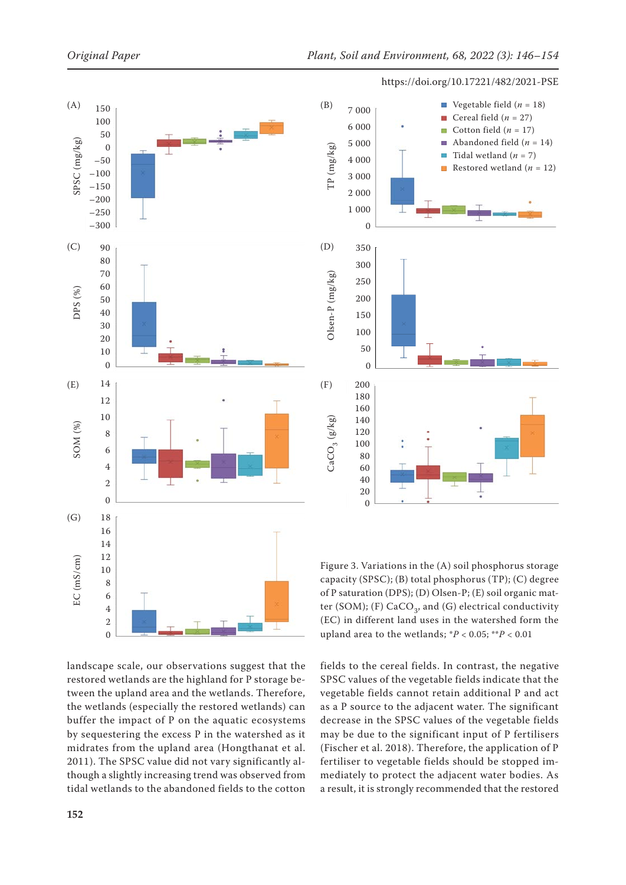



landscape scale, our observations suggest that the restored wetlands are the highland for P storage between the upland area and the wetlands. Therefore, the wetlands (especially the restored wetlands) can buffer the impact of P on the aquatic ecosystems by sequestering the excess P in the watershed as it midrates from the upland area (Hongthanat et al. 2011). The SPSC value did not vary significantly although a slightly increasing trend was observed from tidal wetlands to the abandoned fields to the cotton

Figure 3. Variations in the (A) soil phosphorus storage capacity (SPSC); (B) total phosphorus (TP); (C) degree of P saturation (DPS); (D) Olsen-P; (E) soil organic matter (SOM); (F)  $CaCO<sub>3</sub>$ , and (G) electrical conductivity (EC) in different land uses in the watershed form the upland area to the wetlands; \**P* < 0.05; \*\**P* < 0.01

fields to the cereal fields. In contrast, the negative SPSC values of the vegetable fields indicate that the vegetable fields cannot retain additional P and act as a P source to the adjacent water. The significant decrease in the SPSC values of the vegetable fields may be due to the significant input of P fertilisers (Fischer et al. 2018). Therefore, the application of P fertiliser to vegetable fields should be stopped immediately to protect the adjacent water bodies. As a result, it is strongly recommended that the restored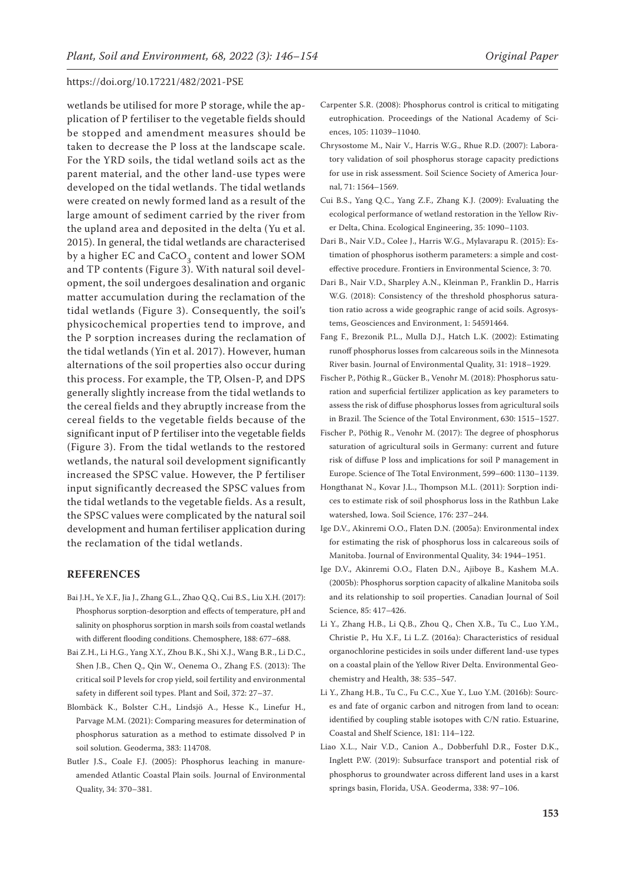wetlands be utilised for more P storage, while the application of P fertiliser to the vegetable fields should be stopped and amendment measures should be taken to decrease the P loss at the landscape scale. For the YRD soils, the tidal wetland soils act as the parent material, and the other land-use types were developed on the tidal wetlands. The tidal wetlands were created on newly formed land as a result of the large amount of sediment carried by the river from the upland area and deposited in the delta (Yu et al. 2015). In general, the tidal wetlands are characterised by a higher EC and CaCO<sub>2</sub> content and lower SOM and TP contents (Figure 3). With natural soil development, the soil undergoes desalination and organic matter accumulation during the reclamation of the tidal wetlands (Figure 3). Consequently, the soil's physicochemical properties tend to improve, and the P sorption increases during the reclamation of the tidal wetlands (Yin et al. 2017). However, human alternations of the soil properties also occur during this process. For example, the TP, Olsen-P, and DPS generally slightly increase from the tidal wetlands to the cereal fields and they abruptly increase from the cereal fields to the vegetable fields because of the significant input of P fertiliser into the vegetable fields (Figure 3). From the tidal wetlands to the restored wetlands, the natural soil development significantly increased the SPSC value. However, the P fertiliser input significantly decreased the SPSC values from the tidal wetlands to the vegetable fields. As a result, the SPSC values were complicated by the natural soil development and human fertiliser application during the reclamation of the tidal wetlands.

#### **REFERENCES**

- Bai J.H., Ye X.F., Jia J., Zhang G.L., Zhao Q.Q., Cui B.S., Liu X.H. (2017): Phosphorus sorption-desorption and effects of temperature, pH and salinity on phosphorus sorption in marsh soils from coastal wetlands with different flooding conditions. Chemosphere, 188: 677–688.
- Bai Z.H., Li H.G., Yang X.Y., Zhou B.K., Shi X.J., Wang B.R., Li D.C., Shen J.B., Chen Q., Qin W., Oenema O., Zhang F.S. (2013): The critical soil P levels for crop yield, soil fertility and environmental safety in different soil types. Plant and Soil, 372: 27–37.
- Blombäck K., Bolster C.H., Lindsjö A., Hesse K., Linefur H., Parvage M.M. (2021): Comparing measures for determination of phosphorus saturation as a method to estimate dissolved P in soil solution. Geoderma, 383: 114708.
- Butler J.S., Coale F.J. (2005): Phosphorus leaching in manureamended Atlantic Coastal Plain soils. Journal of Environmental Quality, 34: 370–381.
- Carpenter S.R. (2008): Phosphorus control is critical to mitigating eutrophication. Proceedings of the National Academy of Sciences, 105: 11039–11040.
- Chrysostome M., Nair V., Harris W.G., Rhue R.D. (2007): Laboratory validation of soil phosphorus storage capacity predictions for use in risk assessment. Soil Science Society of America Journal, 71: 1564–1569.
- Cui B.S., Yang Q.C., Yang Z.F., Zhang K.J. (2009): Evaluating the ecological performance of wetland restoration in the Yellow River Delta, China. Ecological Engineering, 35: 1090–1103.
- Dari B., Nair V.D., Colee J., Harris W.G., Mylavarapu R. (2015): Estimation of phosphorus isotherm parameters: a simple and costeffective procedure. Frontiers in Environmental Science, 3: 70.
- Dari B., Nair V.D., Sharpley A.N., Kleinman P., Franklin D., Harris W.G. (2018): Consistency of the threshold phosphorus saturation ratio across a wide geographic range of acid soils. Agrosystems, Geosciences and Environment, 1: 54591464.
- Fang F., Brezonik P.L., Mulla D.J., Hatch L.K. (2002): Estimating runoff phosphorus losses from calcareous soils in the Minnesota River basin. Journal of Environmental Quality, 31: 1918–1929.
- Fischer P., Pöthig R., Gücker B., Venohr M. (2018): Phosphorus saturation and superficial fertilizer application as key parameters to assess the risk of diffuse phosphorus losses from agricultural soils in Brazil. The Science of the Total Environment, 630: 1515–1527.
- Fischer P., Pöthig R., Venohr M. (2017): The degree of phosphorus saturation of agricultural soils in Germany: current and future risk of diffuse P loss and implications for soil P management in Europe. Science of The Total Environment, 599–600: 1130–1139.
- Hongthanat N., Kovar J.L., Thompson M.L. (2011): Sorption indices to estimate risk of soil phosphorus loss in the Rathbun Lake watershed, Iowa. Soil Science, 176: 237–244.
- Ige D.V., Akinremi O.O., Flaten D.N. (2005a): Environmental index for estimating the risk of phosphorus loss in calcareous soils of Manitoba. Journal of Environmental Quality, 34: 1944–1951.
- Ige D.V., Akinremi O.O., Flaten D.N., Ajiboye B., Kashem M.A. (2005b): Phosphorus sorption capacity of alkaline Manitoba soils and its relationship to soil properties. Canadian Journal of Soil Science, 85: 417–426.
- Li Y., Zhang H.B., Li Q.B., Zhou Q., Chen X.B., Tu C., Luo Y.M., Christie P., Hu X.F., Li L.Z. (2016a): Characteristics of residual organochlorine pesticides in soils under different land-use types on a coastal plain of the Yellow River Delta. Environmental Geochemistry and Health, 38: 535–547.
- Li Y., Zhang H.B., Tu C., Fu C.C., Xue Y., Luo Y.M. (2016b): Sources and fate of organic carbon and nitrogen from land to ocean: identified by coupling stable isotopes with C/N ratio. Estuarine, Coastal and Shelf Science, 181: 114–122.
- Liao X.L., Nair V.D., Canion A., Dobberfuhl D.R., Foster D.K., Inglett P.W. (2019): Subsurface transport and potential risk of phosphorus to groundwater across different land uses in a karst springs basin, Florida, USA. Geoderma, 338: 97–106.